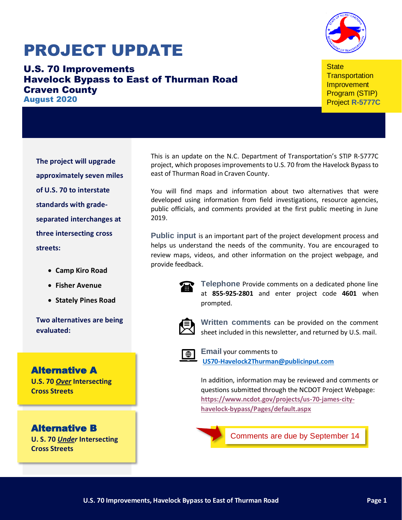## PROJECT UPDATE

U.S. 70 Improvements Havelock Bypass to East of Thurman Road Craven County August 2020

**State Transportation** Improvement Program (STIP) Project **R-5777C**

**The project will upgrade approximately seven miles of U.S. 70 to interstate standards with gradeseparated interchanges at three intersecting cross streets:**

- **Camp Kiro Road**
- **Fisher Avenue**
- **Stately Pines Road**

**Two alternatives are being evaluated:**

 Alternative A **U.S. 70** *Over* **Intersecting** 

**Cross Streets** 

Alternative B **U. S. 70** *Under* **Intersecting Cross Streets** 

This is an update on the N.C. Department of Transportation's STIP R-5777C project, which proposes improvements to U.S. 70 from the Havelock Bypass to east of Thurman Road in Craven County.

You will find maps and information about two alternatives that were developed using information from field investigations, resource agencies, public officials, and comments provided at the first public meeting in June 2019.

**Public input** is an important part of the project development process and helps us understand the needs of the community. You are encouraged to review maps, videos, and other information on the project webpage, and provide feedback.



**Telephone** Provide comments on a dedicated phone line at **855-925-2801** and enter project code **4601** when prompted.



**Written comments** can be provided on the comment sheet included in this newsletter, and returned by U.S. mail.



**Email** your comments to **[US70-Havelock2Thurman@publicinput.com](mailto:US70-Havelock2Thurman@publicinput.com)**

In addition, information may be reviewed and comments or questions submitted through the NCDOT Project Webpage: **[https://www.ncdot.gov/projects/us-70-james-city](https://www.ncdot.gov/projects/us-70-james-city-havelock-bypass/Pages/default.aspx)[havelock-bypass/Pages/default.aspx](https://www.ncdot.gov/projects/us-70-james-city-havelock-bypass/Pages/default.aspx)**

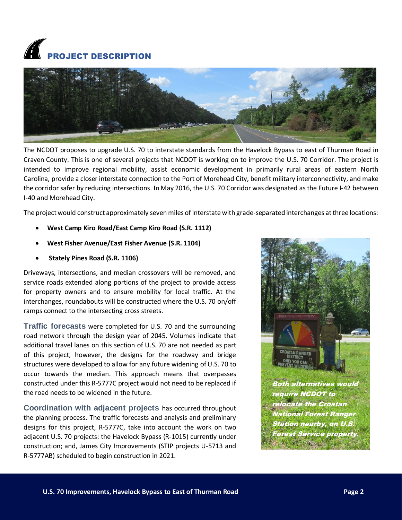



The NCDOT proposes to upgrade U.S. 70 to interstate standards from the Havelock Bypass to east of Thurman Road in Craven County. This is one of several projects that NCDOT is working on to improve the U.S. 70 Corridor. The project is intended to improve regional mobility, assist economic development in primarily rural areas of eastern North Carolina, provide a closer interstate connection to the Port of Morehead City, benefit military interconnectivity, and make the corridor safer by reducing intersections. In May 2016, the U.S. 70 Corridor was designated as the Future I-42 between I-40 and Morehead City.

The project would construct approximately sevenmiles of interstate with grade-separated interchanges at three locations:

- **West Camp Kiro Road/East Camp Kiro Road (S.R. 1112)**
- **West Fisher Avenue/East Fisher Avenue (S.R. 1104)**
- **Stately Pines Road (S.R. 1106)**

Driveways, intersections, and median crossovers will be removed, and service roads extended along portions of the project to provide access for property owners and to ensure mobility for local traffic. At the interchanges, roundabouts will be constructed where the U.S. 70 on/off ramps connect to the intersecting cross streets.

**Traffic forecasts** were completed for U.S. 70 and the surrounding road network through the design year of 2045. Volumes indicate that additional travel lanes on this section of U.S. 70 are not needed as part of this project, however, the designs for the roadway and bridge structures were developed to allow for any future widening of U.S. 70 to occur towards the median. This approach means that overpasses constructed under this R-5777C project would not need to be replaced if the road needs to be widened in the future.

**Coordination with adjacent projects** has occurred throughout the planning process. The traffic forecasts and analysis and preliminary designs for this project, R-5777C, take into account the work on two adjacent U.S. 70 projects: the Havelock Bypass (R-1015) currently under construction; and, James City Improvements (STIP projects U-5713 and R-5777AB) scheduled to begin construction in 2021.

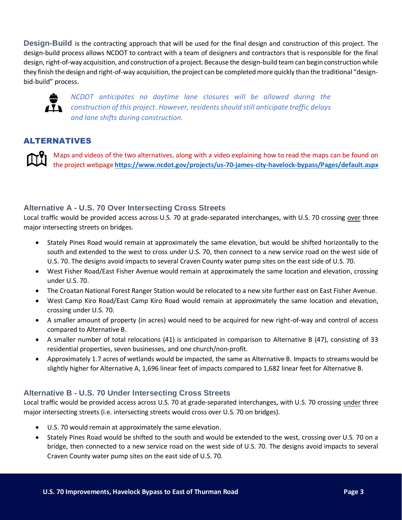**Design-Build** is the contracting approach that will be used for the final design and construction of this project. The design-build process allows NCDOT to contract with a team of designers and contractors that is responsible for the final design, right-of-way acquisition, and construction of a project. Because the design-build team can begin construction while they finish the design and right-of-way acquisition, the project can be completed more quickly than the traditional "designbid-build" process.



*NCDOT anticipates no daytime lane closures will be allowed during the construction of this project. However, residents should still anticipate traffic delays and lane shifts during construction.* 

#### ALTERNATIVES

Maps and videos of the two alternatives, along with a video explaining how to read the maps can be found on the project webpage **<https://www.ncdot.gov/projects/us-70-james-city-havelock-bypass/Pages/default.aspx>**

#### **Alternative A - U.S. 70 Over Intersecting Cross Streets**

Local traffic would be provided access across U.S. 70 at grade-separated interchanges, with U.S. 70 crossing over three major intersecting streets on bridges.

- Stately Pines Road would remain at approximately the same elevation, but would be shifted horizontally to the south and extended to the west to cross under U.S. 70, then connect to a new service road on the west side of U.S. 70. The designs avoid impacts to several Craven County water pump sites on the east side of U.S. 70.
- West Fisher Road/East Fisher Avenue would remain at approximately the same location and elevation, crossing under U.S. 70.
- The Croatan National Forest Ranger Station would be relocated to a new site further east on East Fisher Avenue.
- West Camp Kiro Road/East Camp Kiro Road would remain at approximately the same location and elevation, crossing under U.S. 70.
- A smaller amount of property (in acres) would need to be acquired for new right-of-way and control of access compared to Alternative B.
- A smaller number of total relocations (41) is anticipated in comparison to Alternative B (47), consisting of 33 residential properties, seven businesses, and one church/non-profit.
- Approximately 1.7 acres of wetlands would be impacted, the same as Alternative B. Impacts to streams would be slightly higher for Alternative A, 1,696 linear feet of impacts compared to 1,682 linear feet for Alternative B.

#### **Alternative B - U.S. 70 Under Intersecting Cross Streets**

Local traffic would be provided access across U.S. 70 at grade-separated interchanges, with U.S. 70 crossing under three major intersecting streets (i.e. intersecting streets would cross over U.S. 70 on bridges).

- U.S. 70 would remain at approximately the same elevation.
- Stately Pines Road would be shifted to the south and would be extended to the west, crossing over U.S. 70 on a bridge, then connected to a new service road on the west side of U.S. 70. The designs avoid impacts to several Craven County water pump sites on the east side of U.S. 70.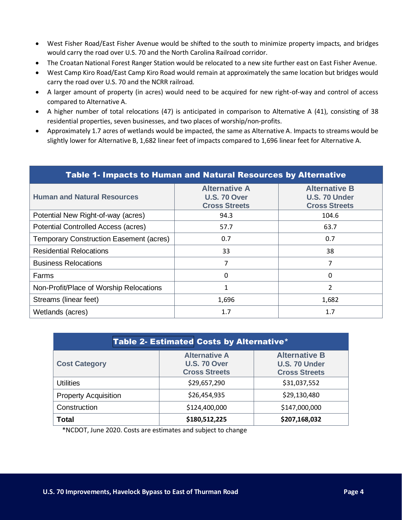- West Fisher Road/East Fisher Avenue would be shifted to the south to minimize property impacts, and bridges would carry the road over U.S. 70 and the North Carolina Railroad corridor.
- The Croatan National Forest Ranger Station would be relocated to a new site further east on East Fisher Avenue.
- West Camp Kiro Road/East Camp Kiro Road would remain at approximately the same location but bridges would carry the road over U.S. 70 and the NCRR railroad.
- A larger amount of property (in acres) would need to be acquired for new right-of-way and control of access compared to Alternative A.
- A higher number of total relocations (47) is anticipated in comparison to Alternative A (41), consisting of 38 residential properties, seven businesses, and two places of worship/non-profits.
- Approximately 1.7 acres of wetlands would be impacted, the same as Alternative A. Impacts to streams would be slightly lower for Alternative B, 1,682 linear feet of impacts compared to 1,696 linear feet for Alternative A.

| <b>Table 1- Impacts to Human and Natural Resources by Alternative</b> |                                                                     |                                                               |  |  |  |
|-----------------------------------------------------------------------|---------------------------------------------------------------------|---------------------------------------------------------------|--|--|--|
| <b>Human and Natural Resources</b>                                    | <b>Alternative A</b><br><b>U.S. 70 Over</b><br><b>Cross Streets</b> | <b>Alternative B</b><br>U.S. 70 Under<br><b>Cross Streets</b> |  |  |  |
| Potential New Right-of-way (acres)                                    | 94.3                                                                | 104.6                                                         |  |  |  |
| Potential Controlled Access (acres)                                   | 57.7                                                                | 63.7                                                          |  |  |  |
| <b>Temporary Construction Easement (acres)</b>                        | 0.7                                                                 | 0.7                                                           |  |  |  |
| <b>Residential Relocations</b>                                        | 33                                                                  | 38                                                            |  |  |  |
| <b>Business Relocations</b>                                           | 7                                                                   | 7                                                             |  |  |  |
| Farms                                                                 | 0                                                                   | 0                                                             |  |  |  |
| Non-Profit/Place of Worship Relocations                               | 1                                                                   | 2                                                             |  |  |  |
| Streams (linear feet)                                                 | 1,696                                                               | 1,682                                                         |  |  |  |
| Wetlands (acres)                                                      | 1.7                                                                 | 1.7                                                           |  |  |  |

| <b>Table 2- Estimated Costs by Alternative*</b> |                                                                     |                                                               |  |  |  |  |  |
|-------------------------------------------------|---------------------------------------------------------------------|---------------------------------------------------------------|--|--|--|--|--|
| <b>Cost Category</b>                            | <b>Alternative A</b><br><b>U.S. 70 Over</b><br><b>Cross Streets</b> | <b>Alternative B</b><br>U.S. 70 Under<br><b>Cross Streets</b> |  |  |  |  |  |
| <b>Utilities</b>                                | \$29,657,290                                                        | \$31,037,552                                                  |  |  |  |  |  |
| <b>Property Acquisition</b>                     | \$26,454,935                                                        | \$29,130,480                                                  |  |  |  |  |  |
| Construction                                    | \$124,400,000                                                       | \$147,000,000                                                 |  |  |  |  |  |
| <b>Total</b>                                    | \$180,512,225                                                       | \$207,168,032                                                 |  |  |  |  |  |

\*NCDOT, June 2020. Costs are estimates and subject to change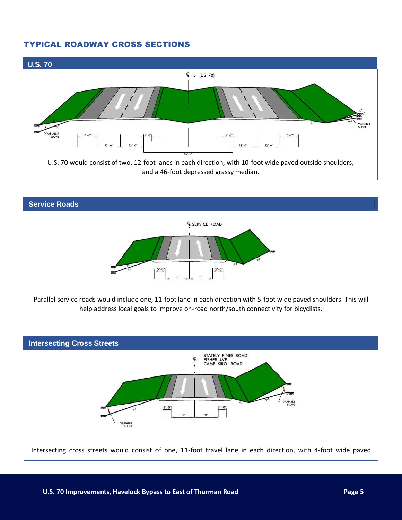#### TYPICAL ROADWAY CROSS SECTIONS





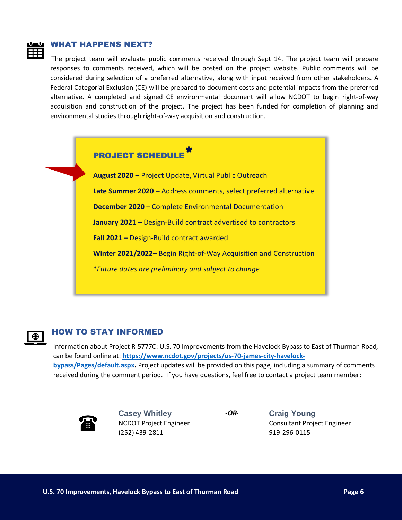### 睜

⊕

#### **WHAT HAPPENS NEXT?**

The project team will evaluate public comments received through Sept 14. The project team will prepare responses to comments received, which will be posted on the project website. Public comments will be considered during selection of a preferred alternative, along with input received from other stakeholders. A Federal Categorial Exclusion (CE) will be prepared to document costs and potential impacts from the preferred alternative. A completed and signed CE environmental document will allow NCDOT to begin right-of-way acquisition and construction of the project. The project has been funded for completion of planning and environmental studies through right-of-way acquisition and construction.



#### HOW TO STAY INFORMED

Information about Project R-5777C: U.S. 70 Improvements from the Havelock Bypass to East of Thurman Road, can be found online at: **[https://www.ncdot.gov/projects/us-70-james-city-havelock](https://www.ncdot.gov/projects/us-70-james-city-havelock-bypass/Pages/default.aspx)[bypass/Pages/default.aspx.](https://www.ncdot.gov/projects/us-70-james-city-havelock-bypass/Pages/default.aspx)** Project updates will be provided on this page, including a summary of comments received during the comment period. If you have questions, feel free to contact a project team member:



**Casey Whitley** NCDOT Project Engineer (252) 439-2811

*-OR-* **Craig Young** Consultant Project Engineer 919-296-0115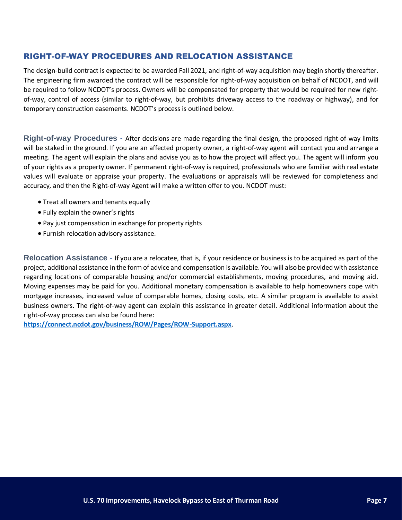#### RIGHT-OF-WAY PROCEDURES AND RELOCATION ASSISTANCE

The design-build contract is expected to be awarded Fall 2021, and right-of-way acquisition may begin shortly thereafter. The engineering firm awarded the contract will be responsible for right-of-way acquisition on behalf of NCDOT, and will be required to follow NCDOT's process. Owners will be compensated for property that would be required for new rightof-way, control of access (similar to right-of-way, but prohibits driveway access to the roadway or highway), and for temporary construction easements. NCDOT's process is outlined below.

**Right-of-way Procedures** -After decisions are made regarding the final design, the proposed right-of-way limits will be staked in the ground. If you are an affected property owner, a right-of-way agent will contact you and arrange a meeting. The agent will explain the plans and advise you as to how the project will affect you. The agent will inform you of your rights as a property owner. If permanent right-of-way is required, professionals who are familiar with real estate values will evaluate or appraise your property. The evaluations or appraisals will be reviewed for completeness and accuracy, and then the Right-of-way Agent will make a written offer to you. NCDOT must:

- Treat all owners and tenants equally
- Fully explain the owner's rights
- Pay just compensation in exchange for property rights
- Furnish relocation advisory assistance.

**Relocation Assistance** -If you are a relocatee, that is, if your residence or business is to be acquired as part of the project, additional assistance in the form of advice and compensation is available. You will also be provided with assistance regarding locations of comparable housing and/or commercial establishments, moving procedures, and moving aid. Moving expenses may be paid for you. Additional monetary compensation is available to help homeowners cope with mortgage increases, increased value of comparable homes, closing costs, etc. A similar program is available to assist business owners. The right-of-way agent can explain this assistance in greater detail. Additional information about the right-of-way process can also be found here:

**<https://connect.ncdot.gov/business/ROW/Pages/ROW-Support.aspx>**.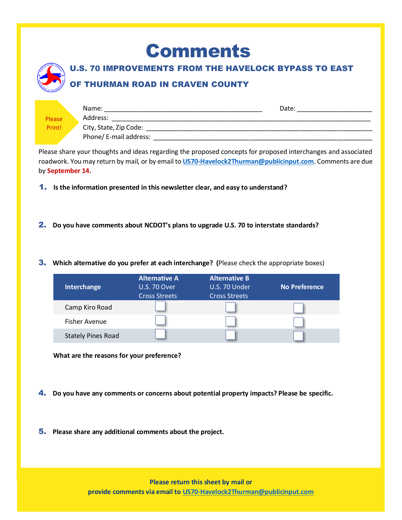# U.S. 70 IMPROVEMENTS FROM THE HAVELOCK BYPASS TO EAST OF THURMAN ROAD IN CRAVEN COUNTY **Comments**

|               | Name:                  | Date: |
|---------------|------------------------|-------|
| <b>Please</b> | Address:               |       |
| Print!        | City, State, Zip Code: |       |
|               | Phone/ E-mail address: |       |

Please share your thoughts and ideas regarding the proposed concepts for proposed interchanges and associated roadwork. You may return by mail, or by email to **[US70-Havelock2Thurman@publicinput.com](mailto:US70-Havelock2Thurman@publicinput.com)**. Comments are due by **September 14.**

- 1. **Is the information presented in this newsletter clear, and easy to understand?**
- 2. **Do you have comments about NCDOT's plans to upgrade U.S. 70 to interstate standards?**
- 3. **Which alternative do you prefer at each interchange? (**Please check the appropriate boxes)

| Interchange               | Alternative A<br><b>U.S. 70 Over</b><br><b>Cross Streets</b> | <b>Alternative B</b><br>U.S. 70 Under<br><b>Cross Streets</b> | <b>No Preference</b> |
|---------------------------|--------------------------------------------------------------|---------------------------------------------------------------|----------------------|
| Camp Kiro Road            |                                                              |                                                               |                      |
| <b>Fisher Avenue</b>      |                                                              |                                                               |                      |
| <b>Stately Pines Road</b> |                                                              |                                                               |                      |

**What are the reasons for your preference?** 

- 4. **Do you have any comments or concerns about potential property impacts? Please be specific.**
- 5. **Please share any additional comments about the project.**